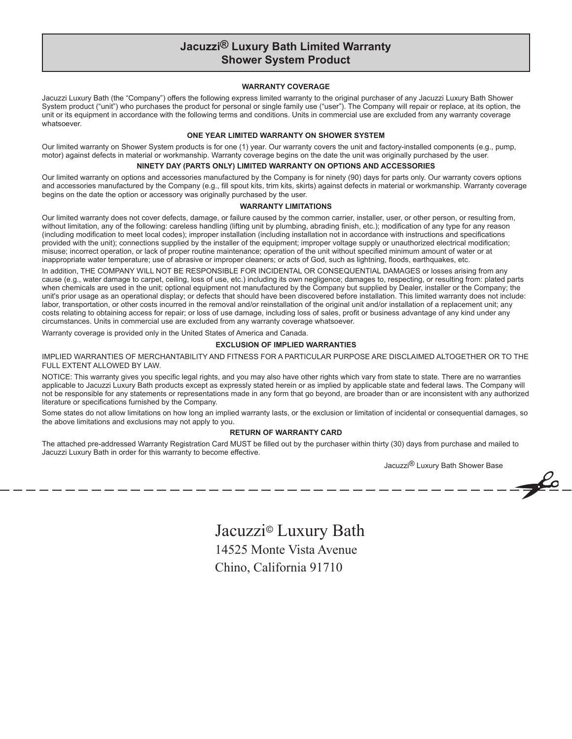# **Jacuzzi® Luxury Bath Limited Warranty Shower System Product**

# **WARRANTY COVERAGE**

Jacuzzi Luxury Bath (the "Company") offers the following express limited warranty to the original purchaser of any Jacuzzi Luxury Bath Shower System product ("unit") who purchases the product for personal or single family use ("user"). The Company will repair or replace, at its option, the unit or its equipment in accordance with the following terms and conditions. Units in commercial use are excluded from any warranty coverage whatsoever.

#### **ONE YEAR LIMITED WARRANTY ON SHOWER SYSTEM**

Our limited warranty on Shower System products is for one (1) year. Our warranty covers the unit and factory-installed components (e.g., pump, motor) against defects in material or workmanship. Warranty coverage begins on the date the unit was originally purchased by the user.

# **NINETY DAY (PARTS ONLY) LIMITED WARRANTY ON OPTIONS AND ACCESSORIES**

Our limited warranty on options and accessories manufactured by the Company is for ninety (90) days for parts only. Our warranty covers options and accessories manufactured by the Company (e.g., fill spout kits, trim kits, skirts) against defects in material or workmanship. Warranty coverage begins on the date the option or accessory was originally purchased by the user.

#### **WARRANTY LIMITATIONS**

Our limited warranty does not cover defects, damage, or failure caused by the common carrier, installer, user, or other person, or resulting from, without limitation, any of the following: careless handling (lifting unit by plumbing, abrading finish, etc.); modification of any type for any reason (including modification to meet local codes); improper installation (including installation not in accordance with instructions and specifications provided with the unit); connections supplied by the installer of the equipment; improper voltage supply or unauthorized electrical modification; misuse; incorrect operation, or lack of proper routine maintenance; operation of the unit without specified minimum amount of water or at inappropriate water temperature; use of abrasive or improper cleaners; or acts of God, such as lightning, floods, earthquakes, etc.

In addition, THE COMPANY WILL NOT BE RESPONSIBLE FOR INCIDENTAL OR CONSEQUENTIAL DAMAGES or losses arising from any cause (e.g., water damage to carpet, ceiling, loss of use, etc.) including its own negligence; damages to, respecting, or resulting from: plated parts when chemicals are used in the unit; optional equipment not manufactured by the Company but supplied by Dealer, installer or the Company; the unit's prior usage as an operational display; or defects that should have been discovered before installation. This limited warranty does not include: labor, transportation, or other costs incurred in the removal and/or reinstallation of the original unit and/or installation of a replacement unit; any costs relating to obtaining access for repair; or loss of use damage, including loss of sales, profit or business advantage of any kind under any circumstances. Units in commercial use are excluded from any warranty coverage whatsoever.

Warranty coverage is provided only in the United States of America and Canada.

#### **EXCLUSION OF IMPLIED WARRANTIES**

IMPLIED WARRANTIES OF MERCHANTABILITY AND FITNESS FOR A PARTICULAR PURPOSE ARE DISCLAIMED ALTOGETHER OR TO THE FULL EXTENT ALLOWED BY LAW.

NOTICE: This warranty gives you specific legal rights, and you may also have other rights which vary from state to state. There are no warranties applicable to Jacuzzi Luxury Bath products except as expressly stated herein or as implied by applicable state and federal laws. The Company will not be responsible for any statements or representations made in any form that go beyond, are broader than or are inconsistent with any authorized literature or specifications furnished by the Company.

Some states do not allow limitations on how long an implied warranty lasts, or the exclusion or limitation of incidental or consequential damages, so the above limitations and exclusions may not apply to you.

# **RETURN OF WARRANTY CARD**

The attached pre-addressed Warranty Registration Card MUST be filled out by the purchaser within thirty (30) days from purchase and mailed to Jacuzzi Luxury Bath in order for this warranty to become effective.

Jacuzzi<sup>®</sup> Luxury Bath Shower Base

 $\rightarrow \infty$ 

Jacuzzi*©* Luxury Bath 14525 Monte Vista Avenue Chino, California 91710